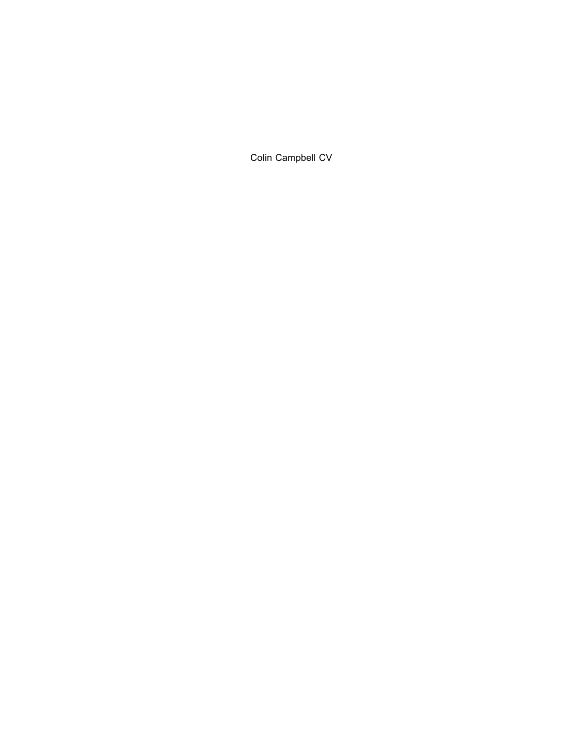Colin Campbell CV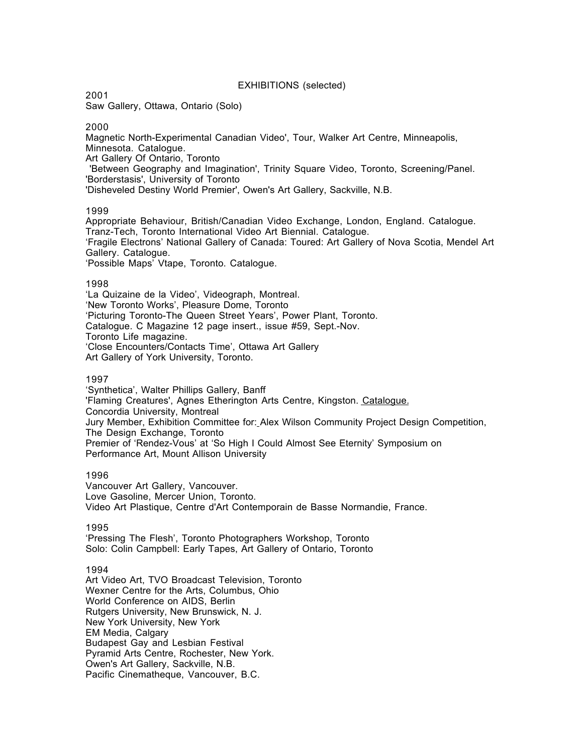## EXHIBITIONS (selected)

2001

Saw Gallery, Ottawa, Ontario (Solo)

2000

Magnetic North-Experimental Canadian Video', Tour, Walker Art Centre, Minneapolis, Minnesota. Catalogue. Art Gallery Of Ontario, Toronto 'Between Geography and Imagination', Trinity Square Video, Toronto, Screening/Panel. 'Borderstasis', University of Toronto 'Disheveled Destiny World Premier', Owen's Art Gallery, Sackville, N.B.

## 1999

Appropriate Behaviour, British/Canadian Video Exchange, London, England. Catalogue. Tranz-Tech, Toronto International Video Art Biennial. Catalogue. 'Fragile Electrons' National Gallery of Canada: Toured: Art Gallery of Nova Scotia, Mendel Art Gallery. Catalogue. 'Possible Maps' Vtape, Toronto. Catalogue.

## 1998

'La Quizaine de la Video', Videograph, Montreal. 'New Toronto Works', Pleasure Dome, Toronto 'Picturing Toronto-The Queen Street Years', Power Plant, Toronto. Catalogue. C Magazine 12 page insert., issue #59, Sept.-Nov. Toronto Life magazine. 'Close Encounters/Contacts Time', Ottawa Art Gallery Art Gallery of York University, Toronto.

## 1997

'Synthetica', Walter Phillips Gallery, Banff 'Flaming Creatures', Agnes Etherington Arts Centre, Kingston. Catalogue. Concordia University, Montreal Jury Member, Exhibition Committee for: Alex Wilson Community Project Design Competition, The Design Exchange, Toronto Premier of 'Rendez-Vous' at 'So High I Could Almost See Eternity' Symposium on Performance Art, Mount Allison University

### 1996

Vancouver Art Gallery, Vancouver. Love Gasoline, Mercer Union, Toronto. Video Art Plastique, Centre d'Art Contemporain de Basse Normandie, France.

## 1995

'Pressing The Flesh', Toronto Photographers Workshop, Toronto Solo: Colin Campbell: Early Tapes, Art Gallery of Ontario, Toronto

### 1994

Art Video Art, TVO Broadcast Television, Toronto Wexner Centre for the Arts, Columbus, Ohio World Conference on AIDS, Berlin Rutgers University, New Brunswick, N. J. New York University, New York EM Media, Calgary Budapest Gay and Lesbian Festival Pyramid Arts Centre, Rochester, New York. Owen's Art Gallery, Sackville, N.B. Pacific Cinematheque, Vancouver, B.C.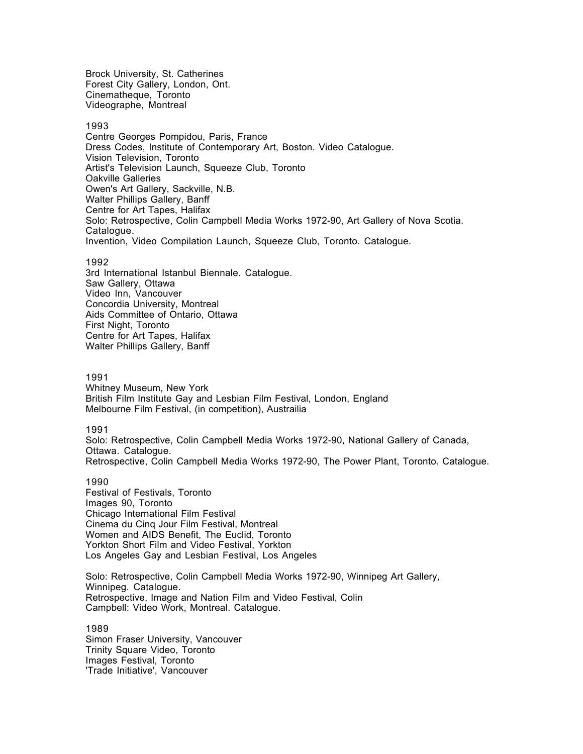Brock University, St. Catherines Forest City Gallery, London, Ont. Cinematheque, Toronto Videographe, Montreal

### 1993

Centre Georges Pompidou, Paris, France Dress Codes, Institute of Contemporary Art, Boston. Video Catalogue. Vision Television, Toronto Artist's Television Launch, Squeeze Club, Toronto Oakville Galleries Owen's Art Gallery, Sackville, N.B. Walter Phillips Gallery, Banff Centre for Art Tapes, Halifax Solo: Retrospective, Colin Campbell Media Works 1972-90, Art Gallery of Nova Scotia. Catalogue. Invention, Video Compilation Launch, Squeeze Club, Toronto. Catalogue.

### 1992

3rd International Istanbul Biennale. Catalogue. Saw Gallery, Ottawa Video Inn, Vancouver Concordia University, Montreal Aids Committee of Ontario, Ottawa First Night, Toronto Centre for Art Tapes, Halifax Walter Phillips Gallery, Banff

#### 1991

Whitney Museum, New York British Film Institute Gay and Lesbian Film Festival, London, England Melbourne Film Festival, (in competition), Austrailia

1991

Solo: Retrospective, Colin Campbell Media Works 1972-90, National Gallery of Canada, Ottawa. Catalogue. Retrospective, Colin Campbell Media Works 1972-90, The Power Plant, Toronto. Catalogue.

1990

Festival of Festivals, Toronto Images 90, Toronto Chicago International Film Festival Cinema du Cinq Jour Film Festival, Montreal Women and AIDS Benefit, The Euclid, Toronto Yorkton Short Film and Video Festival, Yorkton Los Angeles Gay and Lesbian Festival, Los Angeles

Solo: Retrospective, Colin Campbell Media Works 1972-90, Winnipeg Art Gallery, Winnipeg. Catalogue. Retrospective, Image and Nation Film and Video Festival, Colin Campbell: Video Work, Montreal. Catalogue.

1989 Simon Fraser University, Vancouver Trinity Square Video, Toronto Images Festival, Toronto 'Trade Initiative', Vancouver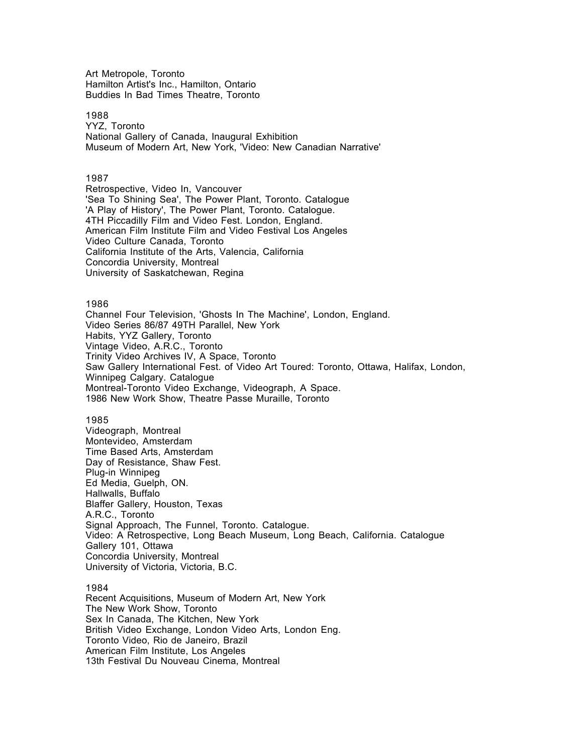Art Metropole, Toronto Hamilton Artist's Inc., Hamilton, Ontario Buddies In Bad Times Theatre, Toronto

### 1988

YYZ, Toronto National Gallery of Canada, Inaugural Exhibition Museum of Modern Art, New York, 'Video: New Canadian Narrative'

## 1987

Retrospective, Video In, Vancouver 'Sea To Shining Sea', The Power Plant, Toronto. Catalogue 'A Play of History', The Power Plant, Toronto. Catalogue. 4TH Piccadilly Film and Video Fest. London, England. American Film Institute Film and Video Festival Los Angeles Video Culture Canada, Toronto California Institute of the Arts, Valencia, California Concordia University, Montreal University of Saskatchewan, Regina

1986

Channel Four Television, 'Ghosts In The Machine', London, England. Video Series 86/87 49TH Parallel, New York Habits, YYZ Gallery, Toronto Vintage Video, A.R.C., Toronto Trinity Video Archives IV, A Space, Toronto Saw Gallery International Fest. of Video Art Toured: Toronto, Ottawa, Halifax, London, Winnipeg Calgary. Catalogue Montreal-Toronto Video Exchange, Videograph, A Space. 1986 New Work Show, Theatre Passe Muraille, Toronto

### 1985

Videograph, Montreal Montevideo, Amsterdam Time Based Arts, Amsterdam Day of Resistance, Shaw Fest. Plug-in Winnipeg Ed Media, Guelph, ON. Hallwalls, Buffalo Blaffer Gallery, Houston, Texas A.R.C., Toronto Signal Approach, The Funnel, Toronto. Catalogue. Video: A Retrospective, Long Beach Museum, Long Beach, California. Catalogue Gallery 101, Ottawa Concordia University, Montreal University of Victoria, Victoria, B.C.

#### 1984

Recent Acquisitions, Museum of Modern Art, New York The New Work Show, Toronto Sex In Canada, The Kitchen, New York British Video Exchange, London Video Arts, London Eng. Toronto Video, Rio de Janeiro, Brazil American Film Institute, Los Angeles 13th Festival Du Nouveau Cinema, Montreal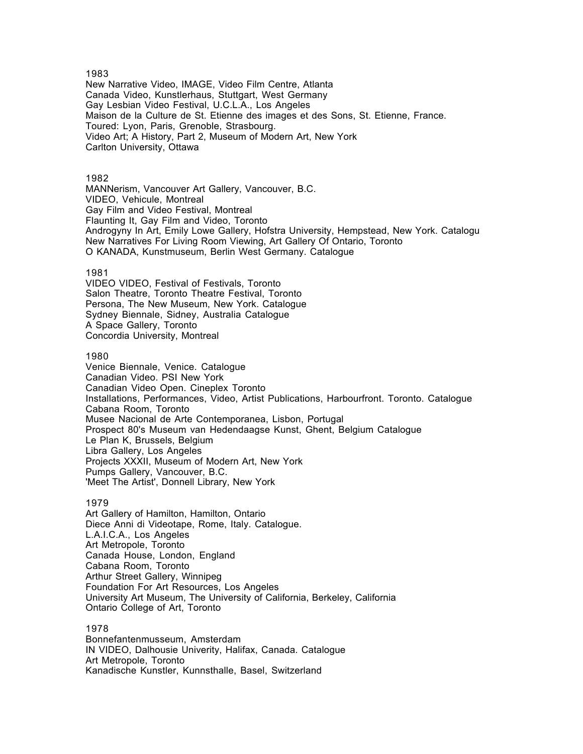## 1983

New Narrative Video, IMAGE, Video Film Centre, Atlanta Canada Video, Kunstlerhaus, Stuttgart, West Germany Gay Lesbian Video Festival, U.C.L.A., Los Angeles Maison de la Culture de St. Etienne des images et des Sons, St. Etienne, France. Toured: Lyon, Paris, Grenoble, Strasbourg. Video Art; A History, Part 2, Museum of Modern Art, New York Carlton University, Ottawa

### 1982

MANNerism, Vancouver Art Gallery, Vancouver, B.C. VIDEO, Vehicule, Montreal Gay Film and Video Festival, Montreal Flaunting It, Gay Film and Video, Toronto Androgyny In Art, Emily Lowe Gallery, Hofstra University, Hempstead, New York. Catalogu New Narratives For Living Room Viewing, Art Gallery Of Ontario, Toronto O KANADA, Kunstmuseum, Berlin West Germany. Catalogue

### 1981

VIDEO VIDEO, Festival of Festivals, Toronto Salon Theatre, Toronto Theatre Festival, Toronto Persona, The New Museum, New York. Catalogue Sydney Biennale, Sidney, Australia Catalogue A Space Gallery, Toronto Concordia University, Montreal

## 1980

Venice Biennale, Venice. Catalogue Canadian Video. PSI New York Canadian Video Open. Cineplex Toronto Installations, Performances, Video, Artist Publications, Harbourfront. Toronto. Catalogue Cabana Room, Toronto Musee Nacional de Arte Contemporanea, Lisbon, Portugal Prospect 80's Museum van Hedendaagse Kunst, Ghent, Belgium Catalogue Le Plan K, Brussels, Belgium Libra Gallery, Los Angeles Projects XXXII, Museum of Modern Art, New York Pumps Gallery, Vancouver, B.C. 'Meet The Artist', Donnell Library, New York

## 1979

Art Gallery of Hamilton, Hamilton, Ontario Diece Anni di Videotape, Rome, Italy. Catalogue. L.A.I.C.A., Los Angeles Art Metropole, Toronto Canada House, London, England Cabana Room, Toronto Arthur Street Gallery, Winnipeg Foundation For Art Resources, Los Angeles University Art Museum, The University of California, Berkeley, California Ontario College of Art, Toronto

### 1978

Bonnefantenmusseum, Amsterdam IN VIDEO, Dalhousie Univerity, Halifax, Canada. Catalogue Art Metropole, Toronto Kanadische Kunstler, Kunnsthalle, Basel, Switzerland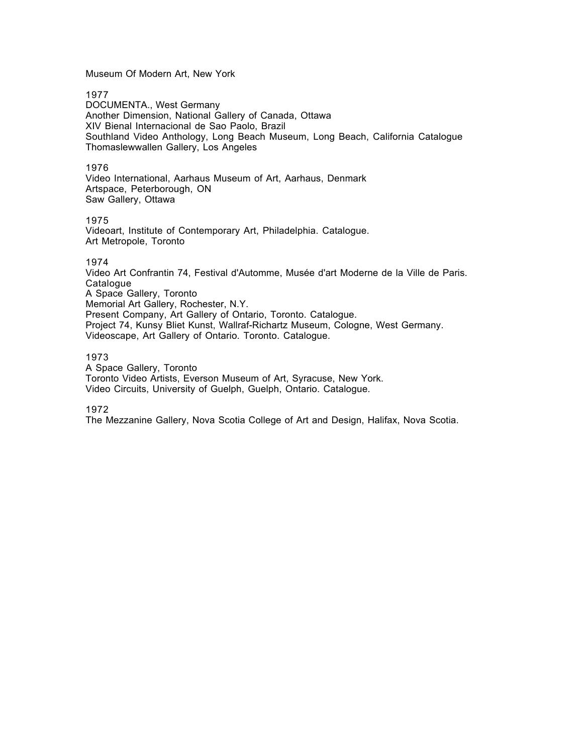Museum Of Modern Art, New York

1977

DOCUMENTA., West Germany Another Dimension, National Gallery of Canada, Ottawa XIV Bienal Internacional de Sao Paolo, Brazil Southland Video Anthology, Long Beach Museum, Long Beach, California Catalogue Thomaslewwallen Gallery, Los Angeles

1976

Video International, Aarhaus Museum of Art, Aarhaus, Denmark Artspace, Peterborough, ON Saw Gallery, Ottawa

# 1975

Videoart, Institute of Contemporary Art, Philadelphia. Catalogue. Art Metropole, Toronto

# 1974

Video Art Confrantin 74, Festival d'Automme, Musée d'art Moderne de la Ville de Paris. **Catalogue** A Space Gallery, Toronto Memorial Art Gallery, Rochester, N.Y. Present Company, Art Gallery of Ontario, Toronto. Catalogue. Project 74, Kunsy Bliet Kunst, Wallraf-Richartz Museum, Cologne, West Germany. Videoscape, Art Gallery of Ontario. Toronto. Catalogue.

## 1973

A Space Gallery, Toronto Toronto Video Artists, Everson Museum of Art, Syracuse, New York. Video Circuits, University of Guelph, Guelph, Ontario. Catalogue.

1972

The Mezzanine Gallery, Nova Scotia College of Art and Design, Halifax, Nova Scotia.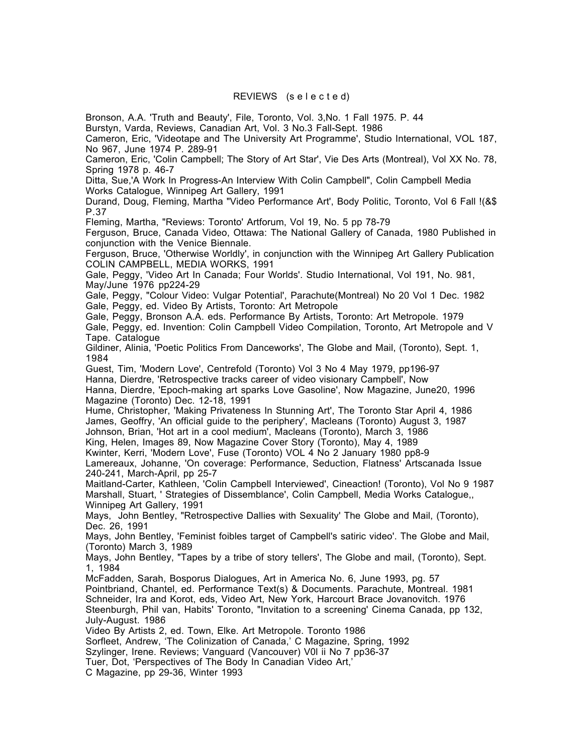# REVIEWS (s e l e c t e d)

Bronson, A.A. 'Truth and Beauty', File, Toronto, Vol. 3,No. 1 Fall 1975. P. 44

Burstyn, Varda, Reviews, Canadian Art, Vol. 3 No.3 Fall-Sept. 1986

Cameron, Eric, 'Videotape and The University Art Programme', Studio International, VOL 187, No 967, June 1974 P. 289-91

Cameron, Eric, 'Colin Campbell; The Story of Art Star', Vie Des Arts (Montreal), Vol XX No. 78, Spring 1978 p. 46-7

Ditta, Sue,'A Work In Progress-An Interview With Colin Campbell", Colin Campbell Media Works Catalogue, Winnipeg Art Gallery, 1991

Durand, Doug, Fleming, Martha "Video Performance Art', Body Politic, Toronto, Vol 6 Fall !(&\$ P.37

Fleming, Martha, "Reviews: Toronto' Artforum, Vol 19, No. 5 pp 78-79

Ferguson, Bruce, Canada Video, Ottawa: The National Gallery of Canada, 1980 Published in conjunction with the Venice Biennale.

Ferguson, Bruce, 'Otherwise Worldly', in conjunction with the Winnipeg Art Gallery Publication COLIN CAMPBELL, MEDIA WORKS, 1991

Gale, Peggy, 'Video Art In Canada; Four Worlds'. Studio International, Vol 191, No. 981, May/June 1976 pp224-29

Gale, Peggy, "Colour Video: Vulgar Potential', Parachute(Montreal) No 20 Vol 1 Dec. 1982 Gale, Peggy, ed. Video By Artists, Toronto: Art Metropole

Gale, Peggy, Bronson A.A. eds. Performance By Artists, Toronto: Art Metropole. 1979 Gale, Peggy, ed. Invention: Colin Campbell Video Compilation, Toronto, Art Metropole and V Tape. Catalogue

Gildiner, Alinia, 'Poetic Politics From Danceworks', The Globe and Mail, (Toronto), Sept. 1, 1984

Guest, Tim, 'Modern Love', Centrefold (Toronto) Vol 3 No 4 May 1979, pp196-97 Hanna, Dierdre, 'Retrospective tracks career of video visionary Campbell', Now

Hanna, Dierdre, 'Epoch-making art sparks Love Gasoline', Now Magazine, June20, 1996 Magazine (Toronto) Dec. 12-18, 1991

Hume, Christopher, 'Making Privateness In Stunning Art', The Toronto Star April 4, 1986 James, Geoffry, 'An official guide to the periphery', Macleans (Toronto) August 3, 1987 Johnson, Brian, 'Hot art in a cool medium', Macleans (Toronto), March 3, 1986

King, Helen, Images 89, Now Magazine Cover Story (Toronto), May 4, 1989

Kwinter, Kerri, 'Modern Love', Fuse (Toronto) VOL 4 No 2 January 1980 pp8-9

Lamereaux, Johanne, 'On coverage: Performance, Seduction, Flatness' Artscanada Issue 240-241, March-April, pp 25-7

Maitland-Carter, Kathleen, 'Colin Campbell Interviewed', Cineaction! (Toronto), Vol No 9 1987 Marshall, Stuart, ' Strategies of Dissemblance', Colin Campbell, Media Works Catalogue,, Winnipeg Art Gallery, 1991

Mays, John Bentley, "Retrospective Dallies with Sexuality' The Globe and Mail, (Toronto), Dec. 26, 1991

Mays, John Bentley, 'Feminist foibles target of Campbell's satiric video'. The Globe and Mail, (Toronto) March 3, 1989

Mays, John Bentley, "Tapes by a tribe of story tellers', The Globe and mail, (Toronto), Sept. 1, 1984

McFadden, Sarah, Bosporus Dialogues, Art in America No. 6, June 1993, pg. 57 Pointbriand, Chantel, ed. Performance Text(s) & Documents. Parachute, Montreal. 1981 Schneider, Ira and Korot, eds, Video Art, New York, Harcourt Brace Jovanovitch. 1976 Steenburgh, Phil van, Habits' Toronto, "Invitation to a screening' Cinema Canada, pp 132, July-August. 1986

Video By Artists 2, ed. Town, Elke. Art Metropole. Toronto 1986

Sorfleet, Andrew, 'The Colinization of Canada,' C Magazine, Spring, 1992

Szylinger, Irene. Reviews; Vanguard (Vancouver) V0l ii No 7 pp36-37

Tuer, Dot, 'Perspectives of The Body In Canadian Video Art,'

C Magazine, pp 29-36, Winter 1993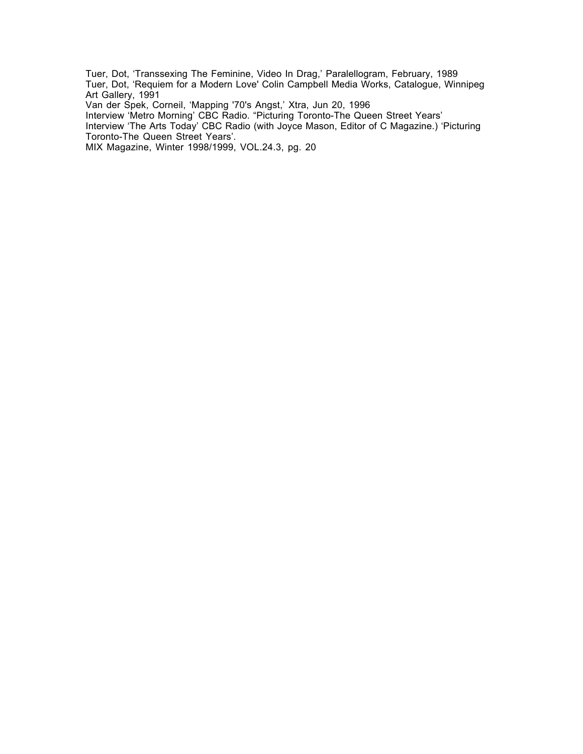Tuer, Dot, 'Transsexing The Feminine, Video In Drag,' Paralellogram, February, 1989 Tuer, Dot, 'Requiem for a Modern Love' Colin Campbell Media Works, Catalogue, Winnipeg Art Gallery, 1991

Van der Spek, Corneil, 'Mapping '70's Angst,' Xtra, Jun 20, 1996

Interview 'Metro Morning' CBC Radio. "Picturing Toronto-The Queen Street Years'

Interview 'The Arts Today' CBC Radio (with Joyce Mason, Editor of C Magazine.) 'Picturing Toronto-The Queen Street Years'.

MIX Magazine, Winter 1998/1999, VOL.24.3, pg. 20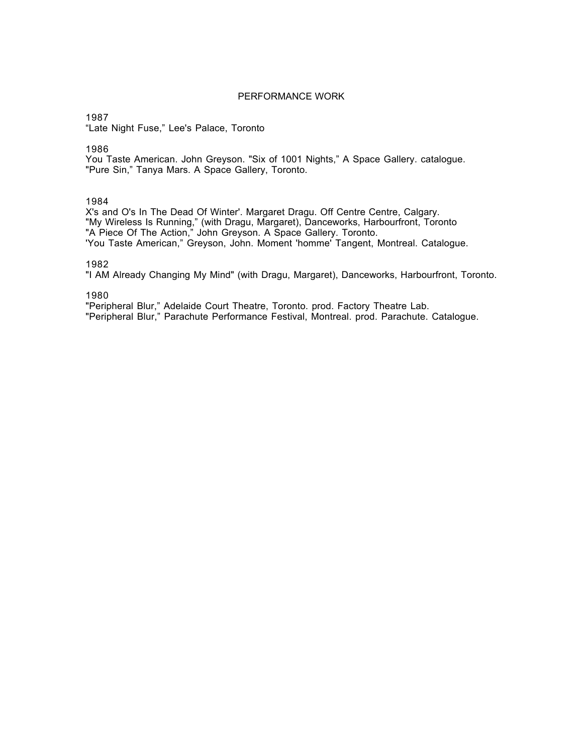## PERFORMANCE WORK

1987

"Late Night Fuse," Lee's Palace, Toronto

1986

You Taste American. John Greyson. "Six of 1001 Nights," A Space Gallery. catalogue. "Pure Sin," Tanya Mars. A Space Gallery, Toronto.

1984

X's and O's In The Dead Of Winter'. Margaret Dragu. Off Centre Centre, Calgary. "My Wireless Is Running," (with Dragu, Margaret), Danceworks, Harbourfront, Toronto "A Piece Of The Action," John Greyson. A Space Gallery. Toronto. 'You Taste American," Greyson, John. Moment 'homme' Tangent, Montreal. Catalogue.

1982

"I AM Already Changing My Mind" (with Dragu, Margaret), Danceworks, Harbourfront, Toronto.

1980

"Peripheral Blur," Adelaide Court Theatre, Toronto. prod. Factory Theatre Lab. "Peripheral Blur," Parachute Performance Festival, Montreal. prod. Parachute. Catalogue.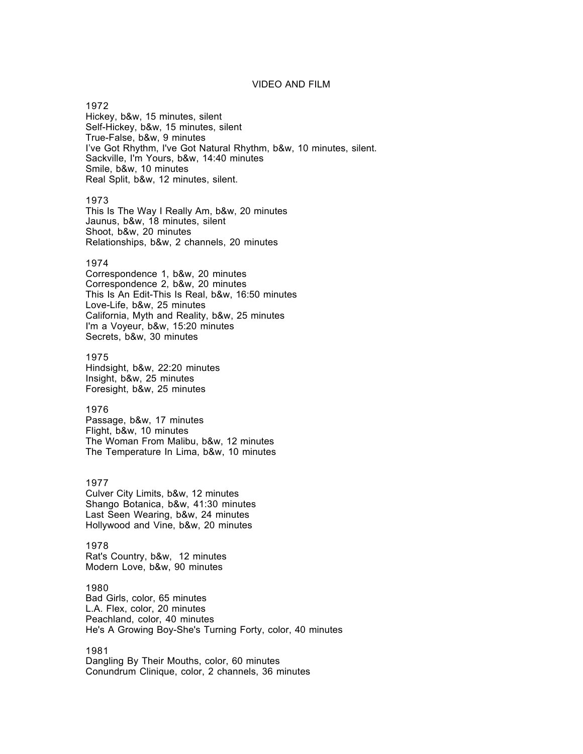# VIDEO AND FILM

#### 1972

Hickey, b&w, 15 minutes, silent Self-Hickey, b&w, 15 minutes, silent True-False, b&w, 9 minutes I've Got Rhythm, I've Got Natural Rhythm, b&w, 10 minutes, silent. Sackville, I'm Yours, b&w, 14:40 minutes Smile, b&w, 10 minutes Real Split, b&w, 12 minutes, silent.

### 1973

This Is The Way I Really Am, b&w, 20 minutes Jaunus, b&w, 18 minutes, silent Shoot, b&w, 20 minutes Relationships, b&w, 2 channels, 20 minutes

## 1974

Correspondence 1, b&w, 20 minutes Correspondence 2, b&w, 20 minutes This Is An Edit-This Is Real, b&w, 16:50 minutes Love-Life, b&w, 25 minutes California, Myth and Reality, b&w, 25 minutes I'm a Voyeur, b&w, 15:20 minutes Secrets, b&w, 30 minutes

### 1975

Hindsight, b&w, 22:20 minutes Insight, b&w, 25 minutes Foresight, b&w, 25 minutes

### 1976

Passage, b&w, 17 minutes Flight, b&w, 10 minutes The Woman From Malibu, b&w, 12 minutes The Temperature In Lima, b&w, 10 minutes

### 1977

Culver City Limits, b&w, 12 minutes Shango Botanica, b&w, 41:30 minutes Last Seen Wearing, b&w, 24 minutes Hollywood and Vine, b&w, 20 minutes

1978 Rat's Country, b&w, 12 minutes Modern Love, b&w, 90 minutes

1980 Bad Girls, color, 65 minutes L.A. Flex, color, 20 minutes Peachland, color, 40 minutes He's A Growing Boy-She's Turning Forty, color, 40 minutes

1981 Dangling By Their Mouths, color, 60 minutes Conundrum Clinique, color, 2 channels, 36 minutes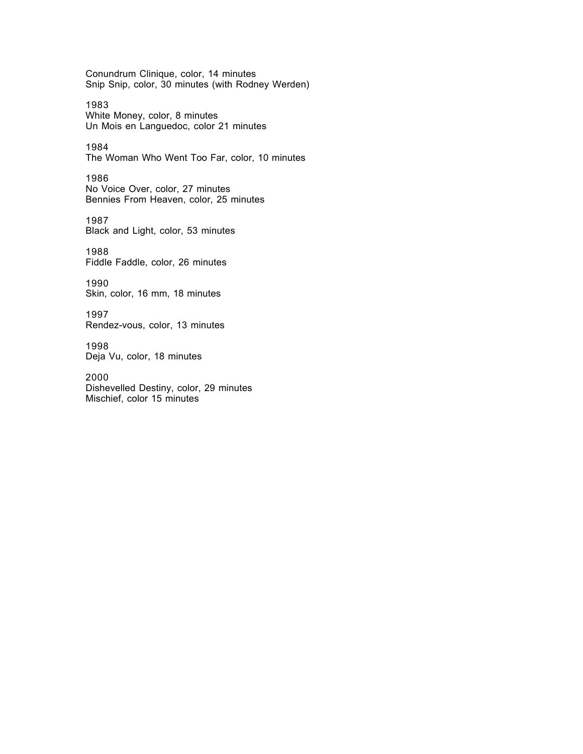Conundrum Clinique, color, 14 minutes Snip Snip, color, 30 minutes (with Rodney Werden)

1983 White Money, color, 8 minutes Un Mois en Languedoc, color 21 minutes

1984 The Woman Who Went Too Far, color, 10 minutes

1986 No Voice Over, color, 27 minutes Bennies From Heaven, color, 25 minutes

1987 Black and Light, color, 53 minutes

1988 Fiddle Faddle, color, 26 minutes

1990 Skin, color, 16 mm, 18 minutes

1997 Rendez-vous, color, 13 minutes

1998 Deja Vu, color, 18 minutes

2000 Dishevelled Destiny, color, 29 minutes Mischief, color 15 minutes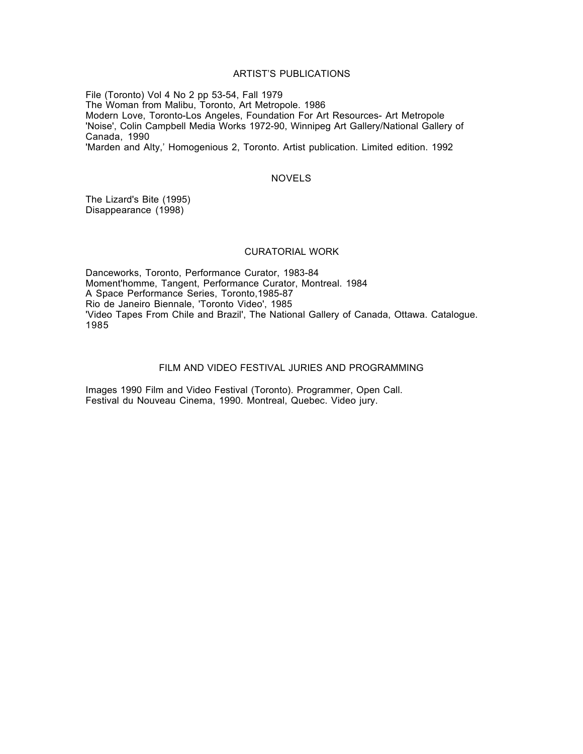## ARTIST'S PUBLICATIONS

File (Toronto) Vol 4 No 2 pp 53-54, Fall 1979 The Woman from Malibu, Toronto, Art Metropole. 1986 Modern Love, Toronto-Los Angeles, Foundation For Art Resources- Art Metropole 'Noise', Colin Campbell Media Works 1972-90, Winnipeg Art Gallery/National Gallery of Canada, 1990 'Marden and Alty,' Homogenious 2, Toronto. Artist publication. Limited edition. 1992

## NOVELS

The Lizard's Bite (1995) Disappearance (1998)

#### CURATORIAL WORK

Danceworks, Toronto, Performance Curator, 1983-84 Moment'homme, Tangent, Performance Curator, Montreal. 1984 A Space Performance Series, Toronto,1985-87 Rio de Janeiro Biennale, 'Toronto Video', 1985 'Video Tapes From Chile and Brazil', The National Gallery of Canada, Ottawa. Catalogue. 1985

## FILM AND VIDEO FESTIVAL JURIES AND PROGRAMMING

Images 1990 Film and Video Festival (Toronto). Programmer, Open Call. Festival du Nouveau Cinema, 1990. Montreal, Quebec. Video jury.